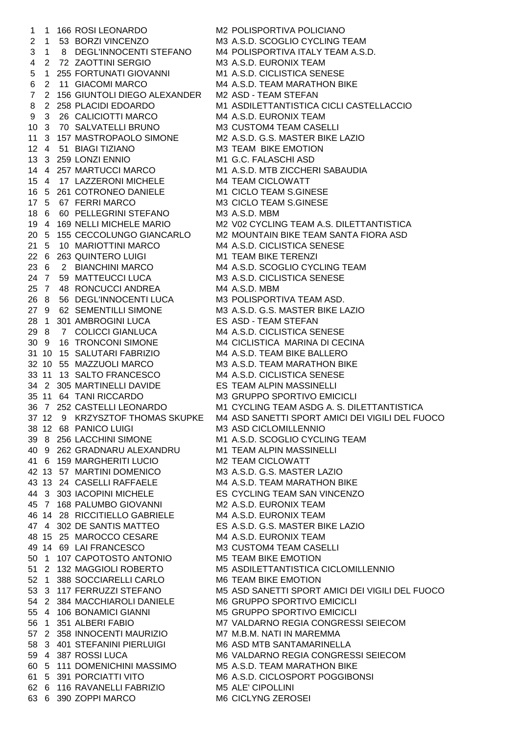1 1 166 ROSI LEONARDO M2 POLISPORTIVA POLICIANO 2 1 53 BORZI VINCENZO M3 A.S.D. SCOGLIO CYCLING TEAM 3 1 8 DEGL'INNOCENTI STEFANO M4 POLISPORTIVA ITALY TEAM A.S.D. 4 2 72 ZAOTTINI SERGIO M3 A.S.D. EURONIX TEAM 5 1 255 FORTUNATI GIOVANNI M1 A.S.D. CICLISTICA SENESE 6 2 11 GIACOMI MARCO M4 A.S.D. TEAM MARATHON BIKE 7 2 156 GIUNTOLI DIEGO ALEXANDER M2 ASD - TEAM STEFAN 9 3 26 CALICIOTTI MARCO M4 A.S.D. EURONIX TEAM 10 3 70 SALVATELLI BRUNO M3 CUSTOM4 TEAM CASELLI 11 3 157 MASTROPAOLO SIMONE M2 A.S.D. G.S. MASTER BIKE LAZIO 12 4 51 BIAGI TIZIANO M3 TEAM BIKE EMOTION 13 3 259 LONZI ENNIO M1 G.C. FALASCHI ASD 14 4 257 MARTUCCI MARCO M1 A.S.D. MTB ZICCHERI SABAUDIA 15 4 17 LAZZERONI MICHELE M4 TEAM CICLOWATT 16 5 261 COTRONEO DANIELE M1 CICLO TEAM S.GINESE 17 5 67 FERRI MARCO M3 CICLO TEAM S.GINESE 18 6 60 PELLEGRINI STEFANO M3 A.S.D. MBM 21 5 10 MARIOTTINI MARCO M4 A.S.D. CICLISTICA SENESE 22 6 263 QUINTERO LUIGI M1 TEAM BIKE TERENZI 23 6 2 BIANCHINI MARCO M4 A.S.D. SCOGLIO CYCLING TEAM 24 7 59 MATTEUCCI LUCA M3 A.S.D. CICLISTICA SENESE 25 7 48 RONCUCCI ANDREA M4 A.S.D. MBM 26 8 56 DEGL'INNOCENTI LUCA M3 POLISPORTIVA TEAM ASD. 27 9 62 SEMENTILLI SIMONE M3 A.S.D. G.S. MASTER BIKE LAZIO 28 1 301 AMBROGINI LUCA ES ASD - TEAM STEFAN 29 8 7 COLICCI GIANLUCA M4 A.S.D. CICLISTICA SENESE 30 9 16 TRONCONI SIMONE M4 CICLISTICA MARINA DI CECINA 31 10 15 SALUTARI FABRIZIO M4 A.S.D. TEAM BIKE BALLERO 32 10 55 MAZZUOLI MARCO M3 A.S.D. TEAM MARATHON BIKE 33 11 13 SALTO FRANCESCO M4 A.S.D. CICLISTICA SENESE 34 2 305 MARTINELLI DAVIDE ES TEAM ALPIN MASSINELLI 35 11 64 TANI RICCARDO M3 GRUPPO SPORTIVO EMICICLI 38 12 68 PANICO LUIGI M3 ASD CICLOMILLENNIO 39 8 256 LACCHINI SIMONE M1 A.S.D. SCOGLIO CYCLING TEAM 40 9 262 GRADNARU ALEXANDRU M1 TEAM ALPIN MASSINELLI 41 6 159 MARGHERITI LUCIO M2 TEAM CICLOWATT 42 13 57 MARTINI DOMENICO M3 A.S.D. G.S. MASTER LAZIO 43 13 24 CASELLI RAFFAELE M4 A.S.D. TEAM MARATHON BIKE 44 3 303 IACOPINI MICHELE ES CYCLING TEAM SAN VINCENZO 45 7 168 PALUMBO GIOVANNI M2 A.S.D. EURONIX TEAM 46 14 28 RICCITIELLO GABRIELE M4 A.S.D. EURONIX TEAM 47 4 302 DE SANTIS MATTEO ES A.S.D. G.S. MASTER BIKE LAZIO 48 15 25 MAROCCO CESARE M4 A.S.D. EURONIX TEAM 49 14 69 LAI FRANCESCO M3 CUSTOM4 TEAM CASELLI 50 1 107 CAPOTOSTO ANTONIO M5 TEAM BIKE EMOTION 52 1 388 SOCCIARELLI CARLO M6 TEAM BIKE EMOTION 54 2 384 MACCHIAROLI DANIELE M6 GRUPPO SPORTIVO EMICICLI 55 4 106 BONAMICI GIANNI M5 GRUPPO SPORTIVO EMICICLI 57 2 358 INNOCENTI MAURIZIO M7 M.B.M. NATI IN MAREMMA 58 3 401 STEFANINI PIERLUIGI M6 ASD MTB SANTAMARINELLA 60 5 111 DOMENICHINI MASSIMO M5 A.S.D. TEAM MARATHON BIKE 61 5 391 PORCIATTI VITO M6 A.S.D. CICLOSPORT POGGIBONSI<br>62 6 116 RAVANELLI FABRIZIO M5 ALE' CIPOLLINI 62 6 116 RAVANELLI FABRIZIO 63 6 390 ZOPPI MARCO M6 CICLYNG ZEROSEI

8 2 258 PLACIDI EDOARDO M1 ASDILETTANTISTICA CICLI CASTELLACCIO 19 4 169 NELLI MICHELE MARIO M2 V02 CYCLING TEAM A.S. DILETTANTISTICA 20 5 155 CECCOLUNGO GIANCARLO M2 MOUNTAIN BIKE TEAM SANTA FIORA ASD 36 7 252 CASTELLI LEONARDO M1 CYCLING TEAM ASDG A. S. DILETTANTISTICA 37 12 9 KRZYSZTOF THOMAS SKUPKE M4 ASD SANETTI SPORT AMICI DEI VIGILI DEL FUOCO 51 2 132 MAGGIOLI ROBERTO M5 ASDILETTANTISTICA CICLOMILLENNIO 53 3 117 FERRUZZI STEFANO M5 ASD SANETTI SPORT AMICI DEI VIGILI DEL FUOCO 56 1 351 ALBERI FABIO M7 VALDARNO REGIA CONGRESSI SEIECOM 59 4 387 ROSSI LUCA M6 VALDARNO REGIA CONGRESSI SEIECOM